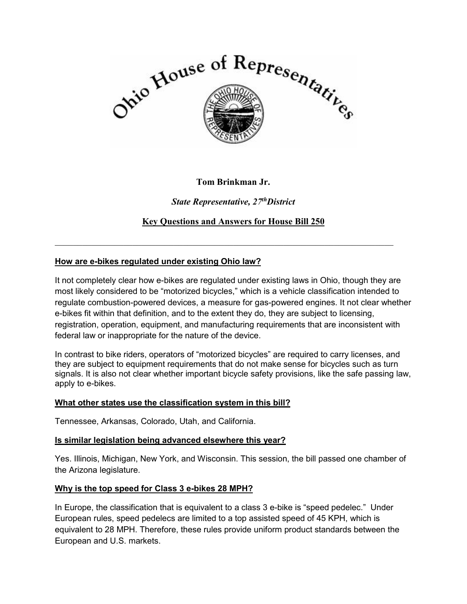

## **Tom Brinkman Jr.**

*State Representative, 27thDistrict* 

**Key Questions and Answers for House Bill 250** 

 $\_$  , and the set of the set of the set of the set of the set of the set of the set of the set of the set of the set of the set of the set of the set of the set of the set of the set of the set of the set of the set of th

## **How are e-bikes regulated under existing Ohio law?**

It not completely clear how e-bikes are regulated under existing laws in Ohio, though they are most likely considered to be "motorized bicycles," which is a vehicle classification intended to regulate combustion-powered devices, a measure for gas-powered engines. It not clear whether e-bikes fit within that definition, and to the extent they do, they are subject to licensing, registration, operation, equipment, and manufacturing requirements that are inconsistent with federal law or inappropriate for the nature of the device.

In contrast to bike riders, operators of "motorized bicycles" are required to carry licenses, and they are subject to equipment requirements that do not make sense for bicycles such as turn signals. It is also not clear whether important bicycle safety provisions, like the safe passing law, apply to e-bikes.

#### **What other states use the classification system in this bill?**

Tennessee, Arkansas, Colorado, Utah, and California.

#### **Is similar legislation being advanced elsewhere this year?**

Yes. Illinois, Michigan, New York, and Wisconsin. This session, the bill passed one chamber of the Arizona legislature.

#### **Why is the top speed for Class 3 e-bikes 28 MPH?**

In Europe, the classification that is equivalent to a class 3 e-bike is "speed pedelec." Under European rules, speed pedelecs are limited to a top assisted speed of 45 KPH, which is equivalent to 28 MPH. Therefore, these rules provide uniform product standards between the European and U.S. markets.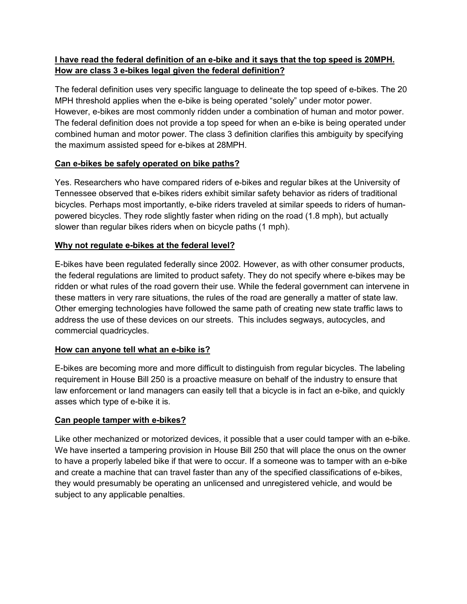# **I have read the federal definition of an e-bike and it says that the top speed is 20MPH. How are class 3 e-bikes legal given the federal definition?**

The federal definition uses very specific language to delineate the top speed of e-bikes. The 20 MPH threshold applies when the e-bike is being operated "solely" under motor power. However, e-bikes are most commonly ridden under a combination of human and motor power. The federal definition does not provide a top speed for when an e-bike is being operated under combined human and motor power. The class 3 definition clarifies this ambiguity by specifying the maximum assisted speed for e-bikes at 28MPH.

## **Can e-bikes be safely operated on bike paths?**

Yes. Researchers who have compared riders of e-bikes and regular bikes at the University of Tennessee observed that e-bikes riders exhibit similar safety behavior as riders of traditional bicycles. Perhaps most importantly, e-bike riders traveled at similar speeds to riders of humanpowered bicycles. They rode slightly faster when riding on the road (1.8 mph), but actually slower than regular bikes riders when on bicycle paths (1 mph).

## **Why not regulate e-bikes at the federal level?**

E-bikes have been regulated federally since 2002. However, as with other consumer products, the federal regulations are limited to product safety. They do not specify where e-bikes may be ridden or what rules of the road govern their use. While the federal government can intervene in these matters in very rare situations, the rules of the road are generally a matter of state law. Other emerging technologies have followed the same path of creating new state traffic laws to address the use of these devices on our streets. This includes segways, autocycles, and commercial quadricycles.

## **How can anyone tell what an e-bike is?**

E-bikes are becoming more and more difficult to distinguish from regular bicycles. The labeling requirement in House Bill 250 is a proactive measure on behalf of the industry to ensure that law enforcement or land managers can easily tell that a bicycle is in fact an e-bike, and quickly asses which type of e-bike it is.

## **Can people tamper with e-bikes?**

Like other mechanized or motorized devices, it possible that a user could tamper with an e-bike. We have inserted a tampering provision in House Bill 250 that will place the onus on the owner to have a properly labeled bike if that were to occur. If a someone was to tamper with an e-bike and create a machine that can travel faster than any of the specified classifications of e-bikes, they would presumably be operating an unlicensed and unregistered vehicle, and would be subject to any applicable penalties.